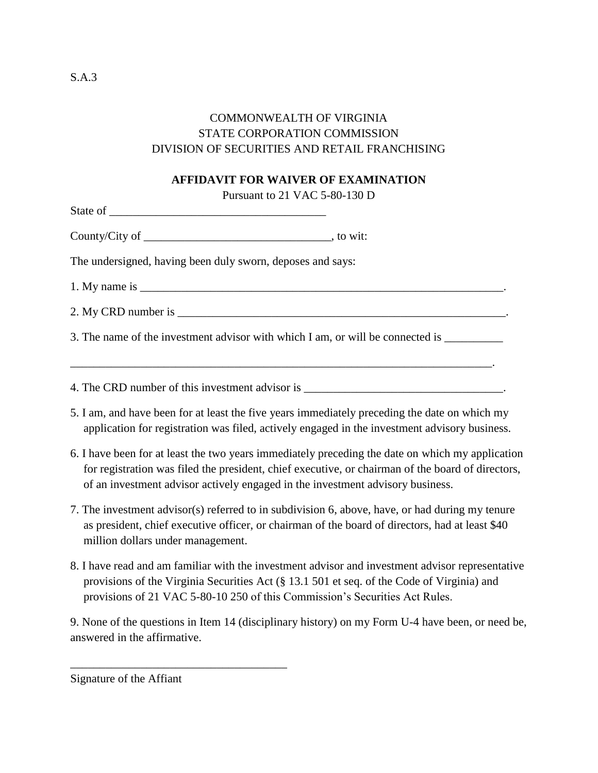## COMMONWEALTH OF VIRGINIA STATE CORPORATION COMMISSION DIVISION OF SECURITIES AND RETAIL FRANCHISING

## **AFFIDAVIT FOR WAIVER OF EXAMINATION**

Pursuant to 21 VAC 5-80-130 D

| ⌒<br>State<br>n.<br>ັ້ |  |  |  |
|------------------------|--|--|--|
|                        |  |  |  |

County/City of \_\_\_\_\_\_\_\_\_\_\_\_\_\_\_\_\_\_\_\_\_\_\_\_\_\_\_\_\_\_\_\_, to wit:

The undersigned, having been duly sworn, deposes and says:

1. My name is \_\_\_\_\_\_\_\_\_\_\_\_\_\_\_\_\_\_\_\_\_\_\_\_\_\_\_\_\_\_\_\_\_\_\_\_\_\_\_\_\_\_\_\_\_\_\_\_\_\_\_\_\_\_\_\_\_\_\_\_\_\_.

2. My CRD number is  $\blacksquare$ 

3. The name of the investment advisor with which I am, or will be connected is \_\_\_\_\_\_\_\_\_\_\_\_\_\_\_\_\_\_\_\_\_\_\_\_\_\_\_\_\_\_\_

\_\_\_\_\_\_\_\_\_\_\_\_\_\_\_\_\_\_\_\_\_\_\_\_\_\_\_\_\_\_\_\_\_\_\_\_\_\_\_\_\_\_\_\_\_\_\_\_\_\_\_\_\_\_\_\_\_\_\_\_\_\_\_\_\_\_\_\_\_\_\_\_.

4. The CRD number of this investment advisor is \_\_\_\_\_\_\_\_\_\_\_\_\_\_\_\_\_\_\_\_\_\_\_\_\_\_\_\_\_\_\_\_\_

- 5. I am, and have been for at least the five years immediately preceding the date on which my application for registration was filed, actively engaged in the investment advisory business.
- 6. I have been for at least the two years immediately preceding the date on which my application for registration was filed the president, chief executive, or chairman of the board of directors, of an investment advisor actively engaged in the investment advisory business.
- 7. The investment advisor(s) referred to in subdivision 6, above, have, or had during my tenure as president, chief executive officer, or chairman of the board of directors, had at least \$40 million dollars under management.
- 8. I have read and am familiar with the investment advisor and investment advisor representative provisions of the Virginia Securities Act (§ 13.1 501 et seq. of the Code of Virginia) and provisions of 21 VAC 5-80-10 250 of this Commission's Securities Act Rules.

9. None of the questions in Item 14 (disciplinary history) on my Form U-4 have been, or need be, answered in the affirmative.

Signature of the Affiant

\_\_\_\_\_\_\_\_\_\_\_\_\_\_\_\_\_\_\_\_\_\_\_\_\_\_\_\_\_\_\_\_\_\_\_\_\_